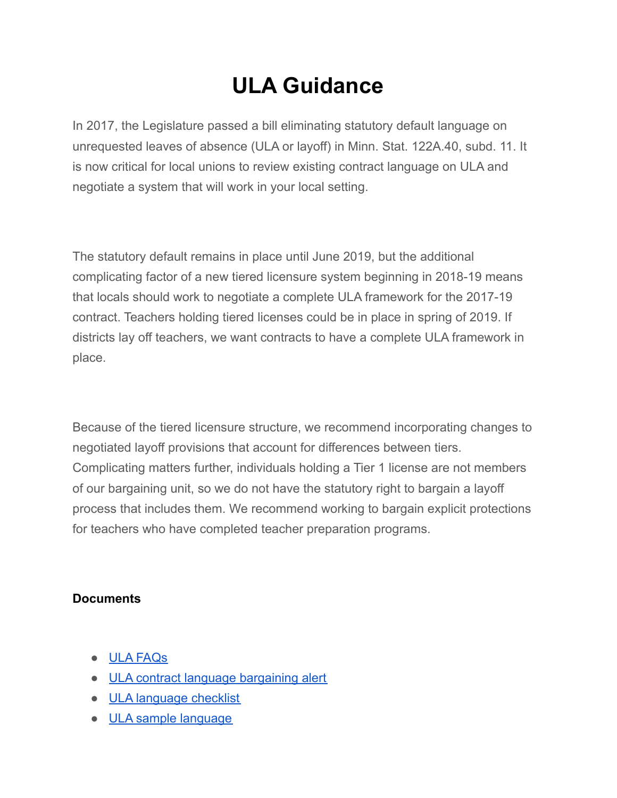## **ULA Guidance**

In 2017, the Legislature passed a bill eliminating statutory default language on unrequested leaves of absence (ULA or layoff) in Minn. Stat. 122A.40, subd. 11. It is now critical for local unions to review existing contract language on ULA and negotiate a system that will work in your local setting.

The statutory default remains in place until June 2019, but the additional complicating factor of a new tiered licensure system beginning in 2018-19 means that locals should work to negotiate a complete ULA framework for the 2017-19 contract. Teachers holding tiered licenses could be in place in spring of 2019. If districts lay off teachers, we want contracts to have a complete ULA framework in place.

Because of the tiered licensure structure, we recommend incorporating changes to negotiated layoff provisions that account for differences between tiers. Complicating matters further, individuals holding a Tier 1 license are not members of our bargaining unit, so we do not have the statutory right to bargain a layoff process that includes them. We recommend working to bargain explicit protections for teachers who have completed teacher preparation programs.

## **Documents**

- ULA [FAQs](https://test-educationminnesota-com.pantheonsite.io/wp-content/uploads/2021/09/ULA-Frequently-Asked-Questions.docx)
- ULA contract language [bargaining](https://test-educationminnesota-com.pantheonsite.io/wp-content/uploads/2021/09/ULA-Contract-Language-Bargaining-Alert-July-2018.docx) alert
- ULA [language](https://test-educationminnesota-com.pantheonsite.io/wp-content/uploads/2021/09/ULA-Language-Checklist.pdf) checklist
- ULA sample [language](https://test-educationminnesota-com.pantheonsite.io/wp-content/uploads/2021/09/Unrequested-leave-of-absence-sample-language.docx)